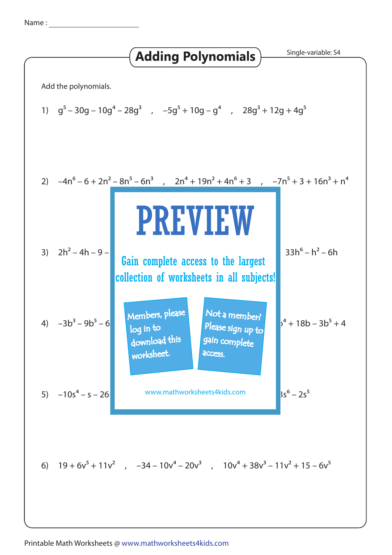